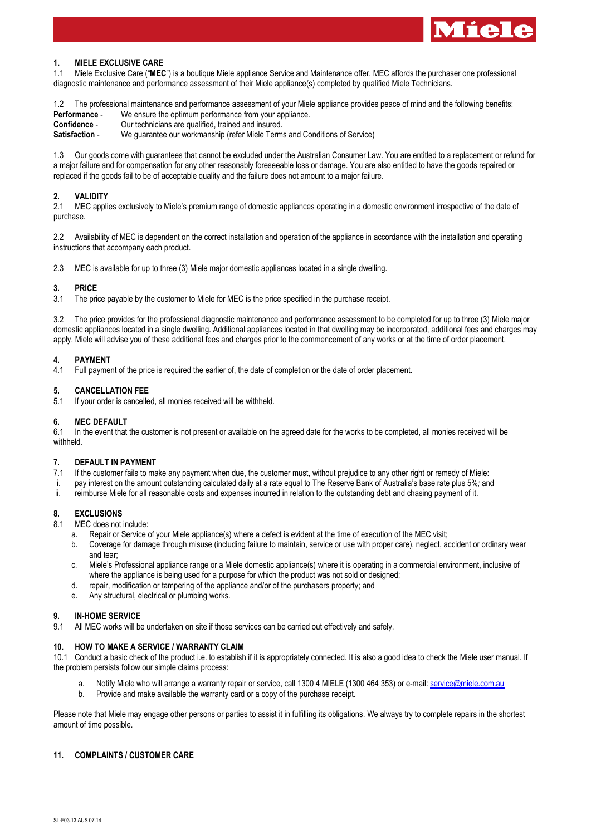

# **1. MIELE EXCLUSIVE CARE**

1.1 Miele Exclusive Care ("**MEC**") is a boutique Miele appliance Service and Maintenance offer. MEC affords the purchaser one professional diagnostic maintenance and performance assessment of their Miele appliance(s) completed by qualified Miele Technicians.

1.2 The professional maintenance and performance assessment of your Miele appliance provides peace of mind and the following benefits: **Performance** - We ensure the optimum performance from your appliance.

**Confidence** - Our technicians are qualified, trained and insured.

**Satisfaction** - We guarantee our workmanship (refer Miele Terms and Conditions of Service)

1.3 Our goods come with guarantees that cannot be excluded under the Australian Consumer Law. You are entitled to a replacement or refund for a major failure and for compensation for any other reasonably foreseeable loss or damage. You are also entitled to have the goods repaired or replaced if the goods fail to be of acceptable quality and the failure does not amount to a major failure.

## **2. VALIDITY**

2.1 MEC applies exclusively to Miele's premium range of domestic appliances operating in a domestic environment irrespective of the date of purchase.

2.2 Availability of MEC is dependent on the correct installation and operation of the appliance in accordance with the installation and operating instructions that accompany each product.

2.3 MEC is available for up to three (3) Miele major domestic appliances located in a single dwelling.

## **3. PRICE**

3.1 The price payable by the customer to Miele for MEC is the price specified in the purchase receipt.

3.2 The price provides for the professional diagnostic maintenance and performance assessment to be completed for up to three (3) Miele major domestic appliances located in a single dwelling. Additional appliances located in that dwelling may be incorporated, additional fees and charges may apply. Miele will advise you of these additional fees and charges prior to the commencement of any works or at the time of order placement.

## **4. PAYMENT**

4.1 Full payment of the price is required the earlier of, the date of completion or the date of order placement.

## **5. CANCELLATION FEE**

5.1 If your order is cancelled, all monies received will be withheld.

#### **6. MEC DEFAULT**

6.1 In the event that the customer is not present or available on the agreed date for the works to be completed, all monies received will be withheld.

#### **7. DEFAULT IN PAYMENT**

7.1 If the customer fails to make any payment when due, the customer must, without prejudice to any other right or remedy of Miele:

- i. pay interest on the amount outstanding calculated daily at a rate equal to The Reserve Bank of Australia's base rate plus 5%*;* and
- ii. reimburse Miele for all reasonable costs and expenses incurred in relation to the outstanding debt and chasing payment of it.

#### **8. EXCLUSIONS**

8.1 MEC does not include:

- a. Repair or Service of your Miele appliance(s) where a defect is evident at the time of execution of the MEC visit;
- b. Coverage for damage through misuse (including failure to maintain, service or use with proper care), neglect, accident or ordinary wear and tear;
- c. Miele's Professional appliance range or a Miele domestic appliance(s) where it is operating in a commercial environment, inclusive of where the appliance is being used for a purpose for which the product was not sold or designed;
- d. repair, modification or tampering of the appliance and/or of the purchasers property; and
- e. Any structural, electrical or plumbing works.

#### **9. IN-HOME SERVICE**

9.1 All MEC works will be undertaken on site if those services can be carried out effectively and safely.

## **10. HOW TO MAKE A SERVICE / WARRANTY CLAIM**

10.1 Conduct a basic check of the product i.e. to establish if it is appropriately connected. It is also a good idea to check the Miele user manual. If the problem persists follow our simple claims process:

- Notify Miele who will arrange a warranty repair or service, call 1300 4 MIELE (1300 464 353) or e-mail[: service@miele.com.au](mailto:service@miele.com.au)
- b. Provide and make available the warranty card or a copy of the purchase receipt.

Please note that Miele may engage other persons or parties to assist it in fulfilling its obligations. We always try to complete repairs in the shortest amount of time possible.

## **11. COMPLAINTS / CUSTOMER CARE**